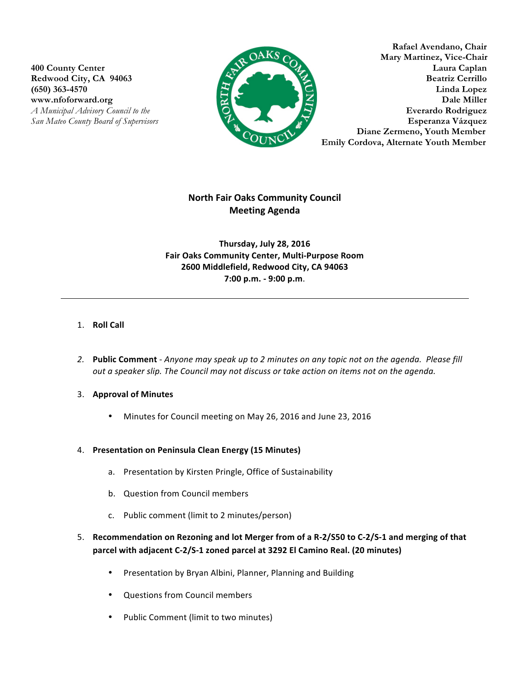

**Rafael Avendano, Chair Mary Martinez, Vice-Chair 400 County Center Laura Caplan** Redwood City, CA 94063 Beatriz Cerrillo **(650) 363-4570 Linda Lopez EXECUTE: Dale Miller Dale Miller** *A Municipal Advisory Council to the* **Everardo Rodriguez Everardo Rodriguez** *San Mateo County Board of Supervisors* **Esperanza Vázquez** **Diane Zermeno, Youth Member Emily Cordova, Alternate Youth Member** 

# **North Fair Oaks Community Council Meeting Agenda**

**Thursday, July 28, 2016 Fair Oaks Community Center, Multi-Purpose Room 2600 Middlefield, Redwood City, CA 94063 7:00 p.m. - 9:00 p.m**.

## 1. **Roll Call**

2. **Public Comment** - Anyone may speak up to 2 minutes on any topic not on the agenda. Please fill *out a speaker slip. The Council may not discuss or take action on items not on the agenda.* 

### 3. Approval of Minutes

Minutes for Council meeting on May 26, 2016 and June 23, 2016

### 4. **Presentation on Peninsula Clean Energy (15 Minutes)**

- a. Presentation by Kirsten Pringle, Office of Sustainability
- b. Question from Council members
- c. Public comment (limit to 2 minutes/person)
- 5. Recommendation on Rezoning and lot Merger from of a R-2/S50 to C-2/S-1 and merging of that parcel with adjacent C-2/S-1 zoned parcel at 3292 El Camino Real. (20 minutes)
	- Presentation by Bryan Albini, Planner, Planning and Building
	- Questions from Council members
	- Public Comment (limit to two minutes)